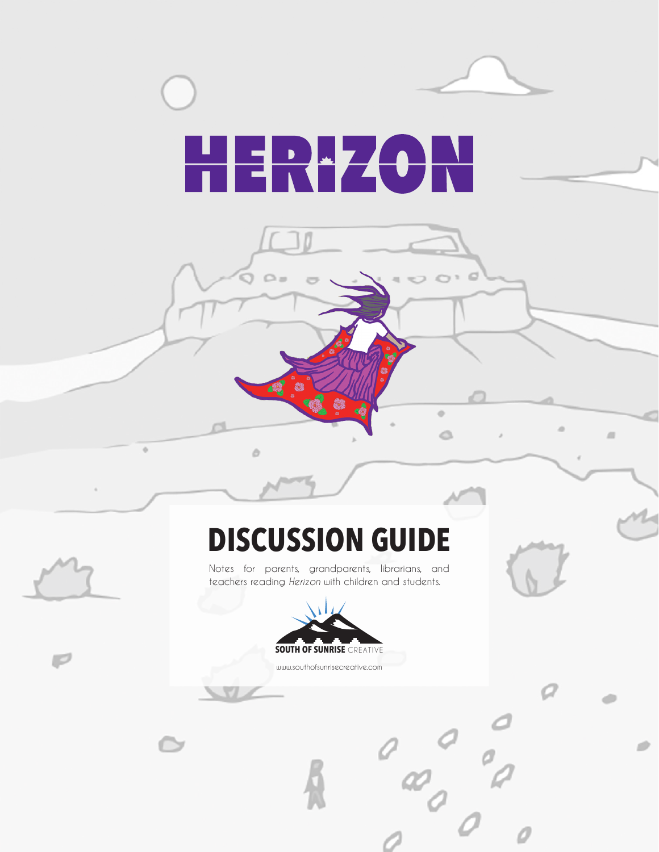

 $\sigma$ 

 $\mathbb{R}$ 

 $\ddot{\circ}$ 

 $\begin{pmatrix} 0 & 0 & 0 \\ 0 & 0 & 0 \\ 0 & 0 & 0 \end{pmatrix}$ 

Ô

 $\sqrt{2}$ 

## **DISCUSSION GUIDE**

 $\Omega =$ 

ò

Notes for parents, grandparents, librarians, and teachers reading *Herizon* with children and students.



www.southofsunrisecreative.com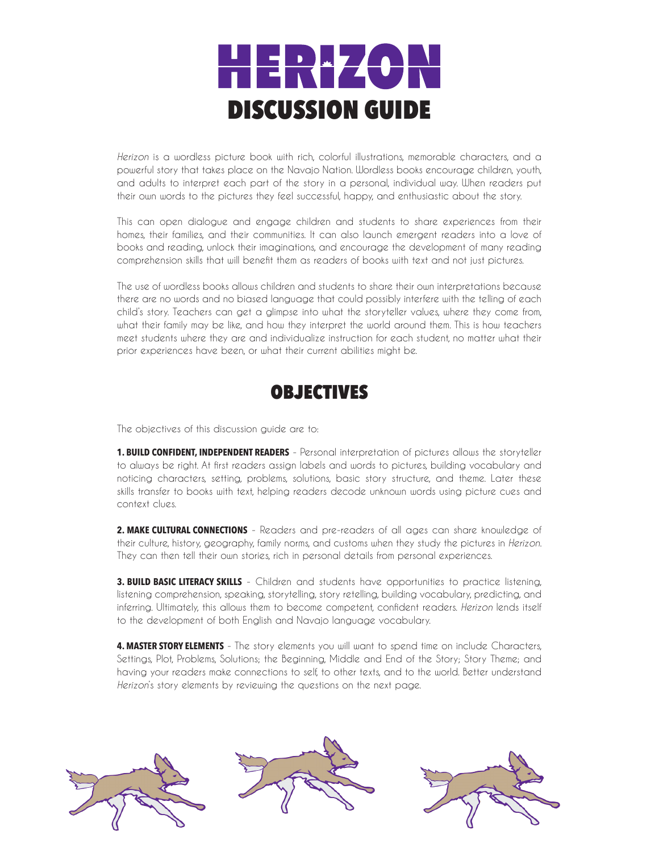

*Herizon* is a wordless picture book with rich, colorful illustrations, memorable characters, and a powerful story that takes place on the Navajo Nation. Wordless books encourage children, youth, and adults to interpret each part of the story in a personal, individual way. When readers put their own words to the pictures they feel successful, happy, and enthusiastic about the story.

This can open dialogue and engage children and students to share experiences from their homes, their families, and their communities. It can also launch emergent readers into a love of books and reading, unlock their imaginations, and encourage the development of many reading comprehension skills that will benefit them as readers of books with text and not just pictures.

The use of wordless books allows children and students to share their own interpretations because there are no words and no biased language that could possibly interfere with the telling of each child's story. Teachers can get a glimpse into what the storyteller values, where they come from, what their family may be like, and how they interpret the world around them. This is how teachers meet students where they are and individualize instruction for each student, no matter what their prior experiences have been, or what their current abilities might be.



The objectives of this discussion guide are to:

**1. BUILD CONFIDENT, INDEPENDENT READERS** - Personal interpretation of pictures allows the storyteller to always be right. At first readers assign labels and words to pictures, building vocabulary and noticing characters, setting, problems, solutions, basic story structure, and theme. Later these skills transfer to books with text, helping readers decode unknown words using picture cues and context clues.

**2. MAKE CULTURAL CONNECTIONS** - Readers and pre-readers of all ages can share knowledge of their culture, history, geography, family norms, and customs when they study the pictures in *Herizon*. They can then tell their own stories, rich in personal details from personal experiences.

**3. BUILD BASIC LITERACY SKILLS** - Children and students have opportunities to practice listening, listening comprehension, speaking, storytelling, story retelling, building vocabulary, predicting, and inferring. Ultimately, this allows them to become competent, confident readers. *Herizon* lends itself to the development of both English and Navajo language vocabulary.

**4. MASTER STORY ELEMENTS** - The story elements you will want to spend time on include Characters, Settings, Plot, Problems, Solutions; the Beginning, Middle and End of the Story; Story Theme; and having your readers make connections to self, to other texts, and to the world. Better understand *Herizon*'s story elements by reviewing the questions on the next page.

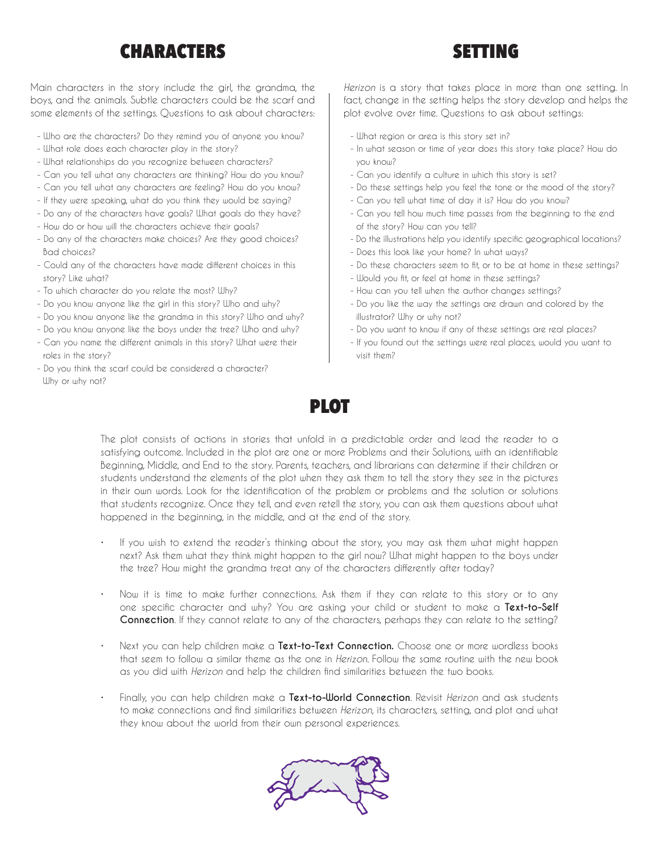## CHARACTERS SETTING

Main characters in the story include the girl, the grandma, the boys, and the animals. Subtle characters could be the scarf and some elements of the settings. Questions to ask about characters:

- Who are the characters? Do they remind you of anyone you know?
- What role does each character play in the story?
- What relationships do you recognize between characters?
- Can you tell what any characters are thinking? How do you know?
- Can you tell what any characters are feeling? How do you know?
- If they were speaking, what do you think they would be saying?
- Do any of the characters have goals? What goals do they have?
- How do or how will the characters achieve their goals?
- Do any of the characters make choices? Are they good choices? Bad choices?
- Could any of the characters have made different choices in this story? Like what?
- To which character do you relate the most? Why?
- Do you know anyone like the girl in this story? Who and why?
- Do you know anyone like the grandma in this story? Who and why?
- Do you know anyone like the boys under the tree? Who and why?
- Can you name the different animals in this story? What were their roles in the story?
- Do you think the scarf could be considered a character? Why or why not?

*Herizon* is a story that takes place in more than one setting. In fact, change in the setting helps the story develop and helps the plot evolve over time. Questions to ask about settings:

- What region or area is this story set in?
- In what season or time of year does this story take place? How do you know?
- Can you identify a culture in which this story is set?
- Do these settings help you feel the tone or the mood of the story?
- Can you tell what time of day it is? How do you know?
- Can you tell how much time passes from the beginning to the end of the story? How can you tell?
- Do the illustrations help you identify specific geographical locations?
- Does this look like your home? In what ways?
- Do these characters seem to fit, or to be at home in these settings?
- Would you fit, or feel at home in these settings?
- How can you tell when the author changes settings?
- Do you like the way the settings are drawn and colored by the illustrator? Why or why not?
- Do you want to know if any of these settings are real places?
- If you found out the settings were real places, would you want to visit them?



The plot consists of actions in stories that unfold in a predictable order and lead the reader to a satisfying outcome. Included in the plot are one or more Problems and their Solutions, with an identifiable Beginning, Middle, and End to the story. Parents, teachers, and librarians can determine if their children or students understand the elements of the plot when they ask them to tell the story they see in the pictures in their own words. Look for the identification of the problem or problems and the solution or solutions that students recognize. Once they tell, and even retell the story, you can ask them questions about what happened in the beginning, in the middle, and at the end of the story.

- If you wish to extend the reader's thinking about the story, you may ask them what might happen next? Ask them what they think might happen to the girl now? What might happen to the boys under the tree? How might the grandma treat any of the characters differently after today?
- Now it is time to make further connections. Ask them if they can relate to this story or to any one specific character and why? You are asking your child or student to make a **Text-to-Self Connection**. If they cannot relate to any of the characters, perhaps they can relate to the setting?
- Next you can help children make a **Text-to-Text Connection.** Choose one or more wordless books that seem to follow a similar theme as the one in *Herizon*. Follow the same routine with the new book as you did with *Herizon* and help the children find similarities between the two books.
- Finally, you can help children make a **Text-to-World Connection**. Revisit *Herizon* and ask students to make connections and find similarities between *Herizon*, its characters, setting, and plot and what they know about the world from their own personal experiences.